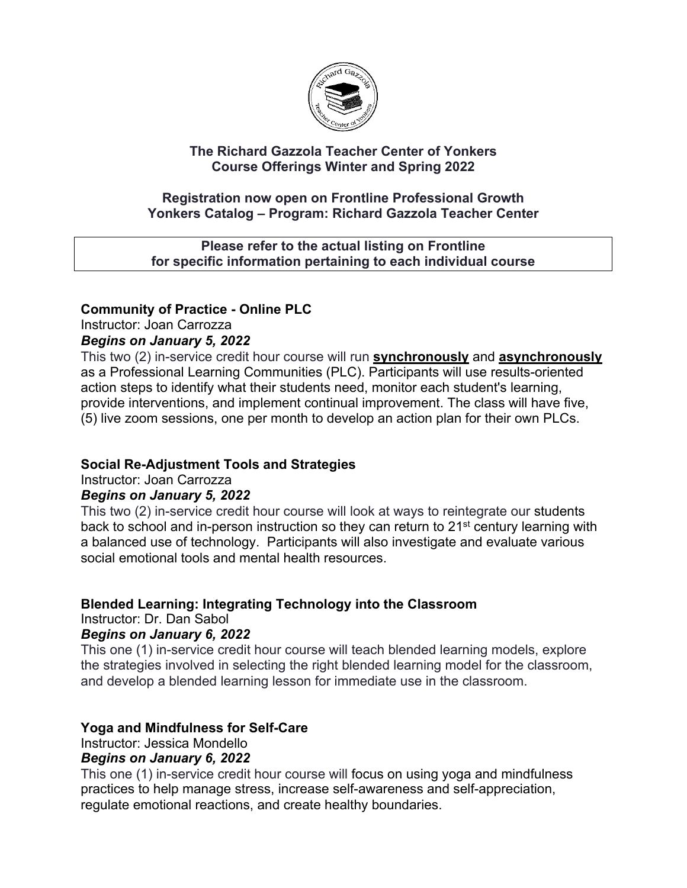

### **The Richard Gazzola Teacher Center of Yonkers Course Offerings Winter and Spring 2022**

#### **Registration now open on Frontline Professional Growth Yonkers Catalog – Program: Richard Gazzola Teacher Center**

#### **Please refer to the actual listing on Frontline for specific information pertaining to each individual course**

# **Community of Practice - Online PLC**

Instructor: Joan Carrozza

## *Begins on January 5, 2022*

This two (2) in-service credit hour course will run **synchronously** and **asynchronously** as a Professional Learning Communities (PLC). Participants will use results-oriented action steps to identify what their students need, monitor each student's learning, provide interventions, and implement continual improvement. The class will have five, (5) live zoom sessions, one per month to develop an action plan for their own PLCs.

# **Social Re-Adjustment Tools and Strategies**

Instructor: Joan Carrozza

## *Begins on January 5, 2022*

This two (2) in-service credit hour course will look at ways to reintegrate our students back to school and in-person instruction so they can return to 21<sup>st</sup> century learning with a balanced use of technology. Participants will also investigate and evaluate various social emotional tools and mental health resources.

## **Blended Learning: Integrating Technology into the Classroom**

Instructor: Dr. Dan Sabol

## *Begins on January 6, 2022*

This one (1) in-service credit hour course will teach blended learning models, explore the strategies involved in selecting the right blended learning model for the classroom, and develop a blended learning lesson for immediate use in the classroom.

## **Yoga and Mindfulness for Self-Care**

Instructor: Jessica Mondello

## *Begins on January 6, 2022*

This one (1) in-service credit hour course will focus on using yoga and mindfulness practices to help manage stress, increase self-awareness and self-appreciation, regulate emotional reactions, and create healthy boundaries.